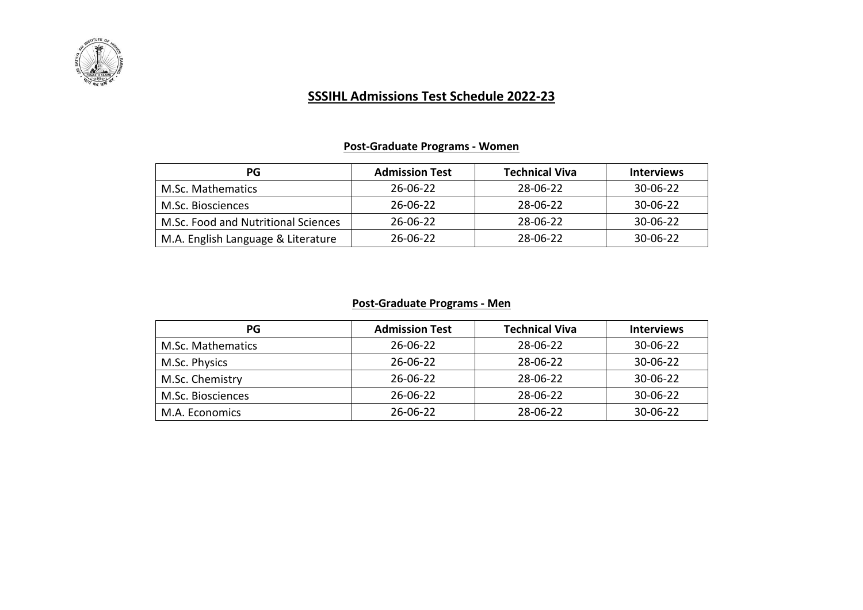

# **SSSIHL Admissions Test Schedule 2022-23**

## **Post-Graduate Programs - Women**

| PG                                  | <b>Admission Test</b> | <b>Technical Viva</b> | <b>Interviews</b> |
|-------------------------------------|-----------------------|-----------------------|-------------------|
| M.Sc. Mathematics                   | 26-06-22              | 28-06-22              | 30-06-22          |
| M.Sc. Biosciences                   | 26-06-22              | 28-06-22              | $30 - 06 - 22$    |
| M.Sc. Food and Nutritional Sciences | 26-06-22              | 28-06-22              | 30-06-22          |
| M.A. English Language & Literature  | 26-06-22              | 28-06-22              | 30-06-22          |

#### **Post-Graduate Programs - Men**

| PG                | <b>Admission Test</b> | <b>Technical Viva</b> | <b>Interviews</b> |
|-------------------|-----------------------|-----------------------|-------------------|
| M.Sc. Mathematics | 26-06-22              | 28-06-22              | $30 - 06 - 22$    |
| M.Sc. Physics     | 26-06-22              | 28-06-22              | $30 - 06 - 22$    |
| M.Sc. Chemistry   | 26-06-22              | 28-06-22              | $30 - 06 - 22$    |
| M.Sc. Biosciences | 26-06-22              | 28-06-22              | $30 - 06 - 22$    |
| M.A. Economics    | 26-06-22              | 28-06-22              | $30 - 06 - 22$    |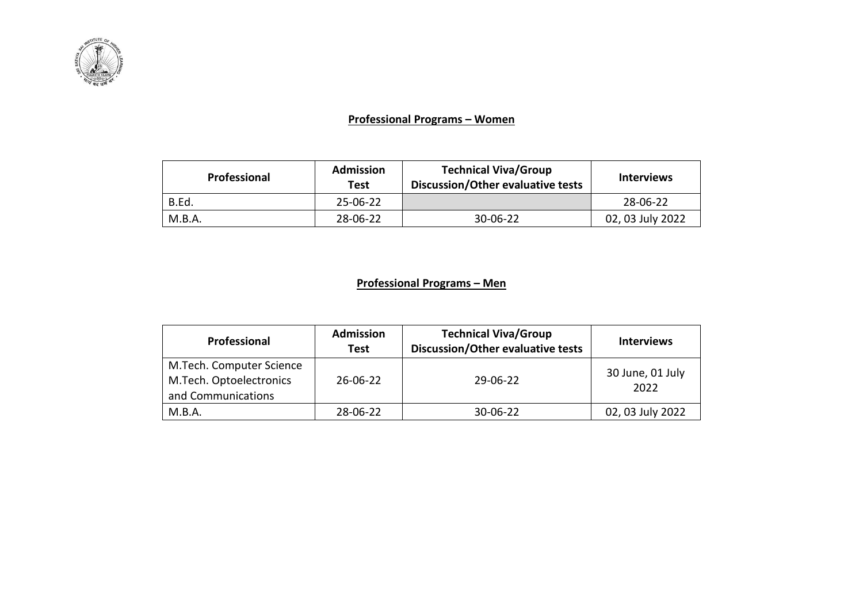

#### **Professional Programs – Women**

| Professional | <b>Admission</b><br>Test | <b>Technical Viva/Group</b><br>Discussion/Other evaluative tests | <b>Interviews</b> |
|--------------|--------------------------|------------------------------------------------------------------|-------------------|
| B.Ed.        | $25 - 06 - 22$           |                                                                  | 28-06-22          |
| M.B.A.       | 28-06-22                 | 30-06-22                                                         | 02, 03 July 2022  |

### **Professional Programs – Men**

| Professional                                                              | <b>Admission</b><br><b>Test</b> | <b>Technical Viva/Group</b><br>Discussion/Other evaluative tests | <b>Interviews</b>        |
|---------------------------------------------------------------------------|---------------------------------|------------------------------------------------------------------|--------------------------|
| M.Tech. Computer Science<br>M.Tech. Optoelectronics<br>and Communications | $26 - 06 - 22$                  | 29-06-22                                                         | 30 June, 01 July<br>2022 |
| M.B.A.                                                                    | 28-06-22                        | 30-06-22                                                         | 02, 03 July 2022         |